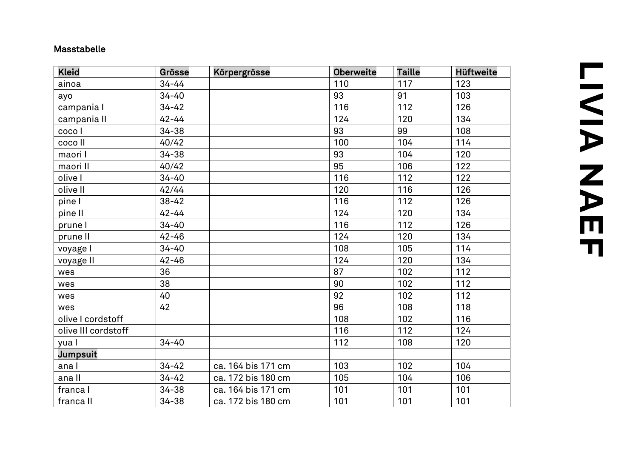## Masstabelle

| <b>Kleid</b>        | Grösse    | Körpergrösse       | <b>Oberweite</b> | <b>Taille</b> | <b>Hüftweite</b> |
|---------------------|-----------|--------------------|------------------|---------------|------------------|
| ainoa               | $34 - 44$ |                    | 110              | 117           | 123              |
| ayo                 | $34 - 40$ |                    | 93               | 91            | 103              |
| campania l          | $34 - 42$ |                    | 116              | 112           | 126              |
| campania II         | $42 - 44$ |                    | 124              | 120           | 134              |
| coco I              | $34 - 38$ |                    | 93               | 99            | 108              |
| coco II             | 40/42     |                    | 100              | 104           | 114              |
| maori I             | $34 - 38$ |                    | 93               | 104           | 120              |
| maori II            | 40/42     |                    | 95               | 106           | 122              |
| olive I             | $34 - 40$ |                    | 116              | 112           | 122              |
| olive II            | 42/44     |                    | 120              | 116           | 126              |
| pine l              | $38 - 42$ |                    | 116              | 112           | 126              |
| pine II             | $42 - 44$ |                    | 124              | 120           | 134              |
| prune I             | $34 - 40$ |                    | 116              | 112           | 126              |
| prune II            | $42 - 46$ |                    | 124              | 120           | 134              |
| voyage I            | $34 - 40$ |                    | 108              | 105           | 114              |
| voyage II           | $42 - 46$ |                    | 124              | 120           | 134              |
| wes                 | 36        |                    | 87               | 102           | 112              |
| wes                 | 38        |                    | 90               | 102           | 112              |
| wes                 | 40        |                    | 92               | 102           | 112              |
| wes                 | 42        |                    | 96               | 108           | 118              |
| olive I cordstoff   |           |                    | 108              | 102           | 116              |
| olive III cordstoff |           |                    | 116              | 112           | 124              |
| yua l               | $34 - 40$ |                    | 112              | 108           | 120              |
| Jumpsuit            |           |                    |                  |               |                  |
| ana l               | $34 - 42$ | ca. 164 bis 171 cm | 103              | 102           | 104              |
| ana II              | $34 - 42$ | ca. 172 bis 180 cm | 105              | 104           | 106              |
| franca l            | $34 - 38$ | ca. 164 bis 171 cm | 101              | 101           | 101              |
| franca II           | $34 - 38$ | ca. 172 bis 180 cm | 101              | 101           | 101              |